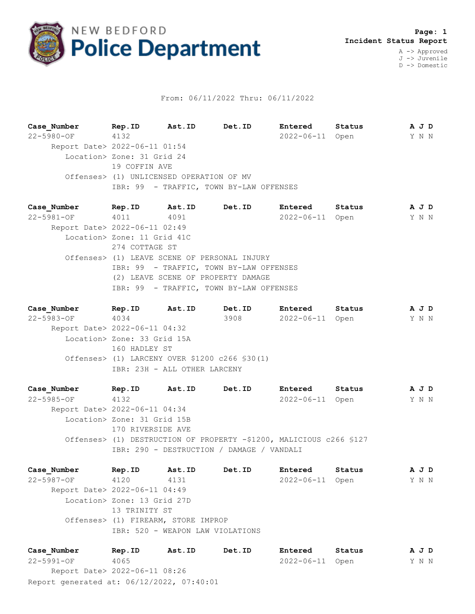

## From: 06/11/2022 Thru: 06/11/2022

**Case\_Number Rep.ID Ast.ID Det.ID Entered Status A J D** 22-5980-OF 4132 2022-06-11 Open Y N N Report Date> 2022-06-11 01:54 Location> Zone: 31 Grid 24 19 COFFIN AVE Offenses> (1) UNLICENSED OPERATION OF MV IBR: 99 - TRAFFIC, TOWN BY-LAW OFFENSES

**Case\_Number Rep.ID Ast.ID Det.ID Entered Status A J D** 22-5981-OF 4011 4091 2022-06-11 Open Y N N Report Date> 2022-06-11 02:49 Location> Zone: 11 Grid 41C 274 COTTAGE ST Offenses> (1) LEAVE SCENE OF PERSONAL INJURY IBR: 99 - TRAFFIC, TOWN BY-LAW OFFENSES (2) LEAVE SCENE OF PROPERTY DAMAGE IBR: 99 - TRAFFIC, TOWN BY-LAW OFFENSES

**Case\_Number Rep.ID Ast.ID Det.ID Entered Status A J D** 22-5983-OF 4034 3908 2022-06-11 Open Y N N Report Date> 2022-06-11 04:32 Location> Zone: 33 Grid 15A 160 HADLEY ST Offenses> (1) LARCENY OVER \$1200 c266 §30(1) IBR: 23H - ALL OTHER LARCENY

**Case\_Number Rep.ID Ast.ID Det.ID Entered Status A J D** 22-5985-OF 4132 2022-06-11 Open Y N N Report Date> 2022-06-11 04:34 Location> Zone: 31 Grid 15B 170 RIVERSIDE AVE Offenses> (1) DESTRUCTION OF PROPERTY -\$1200, MALICIOUS c266 §127 IBR: 290 - DESTRUCTION / DAMAGE / VANDALI

**Case\_Number Rep.ID Ast.ID Det.ID Entered Status A J D** 22-5987-OF 4120 4131 2022-06-11 Open Y N N Report Date> 2022-06-11 04:49 Location> Zone: 13 Grid 27D 13 TRINITY ST Offenses> (1) FIREARM, STORE IMPROP IBR: 520 - WEAPON LAW VIOLATIONS

Report generated at: 06/12/2022, 07:40:01 **Case\_Number Rep.ID Ast.ID Det.ID Entered Status A J D** 22-5991-OF 4065 2022-06-11 Open Y N N Report Date> 2022-06-11 08:26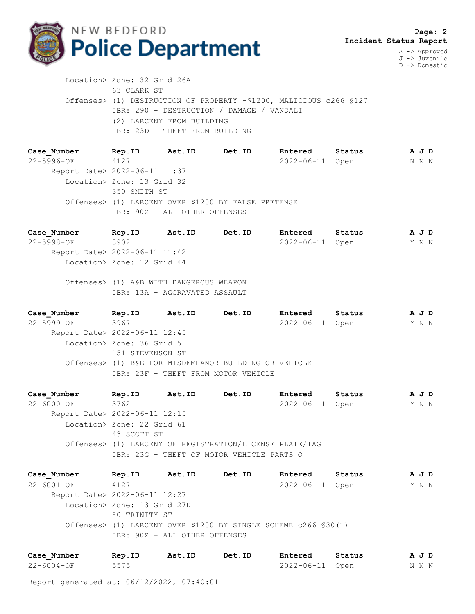

 **Page: 2 Incident Status Report** A -> Approved

> J -> Juvenile D -> Domestic

 Location> Zone: 32 Grid 26A 63 CLARK ST Offenses> (1) DESTRUCTION OF PROPERTY -\$1200, MALICIOUS c266 §127 IBR: 290 - DESTRUCTION / DAMAGE / VANDALI (2) LARCENY FROM BUILDING IBR: 23D - THEFT FROM BUILDING

**Case\_Number Rep.ID Ast.ID Det.ID Entered Status A J D** 22-5996-OF 4127 2022-06-11 Open N N N Report Date> 2022-06-11 11:37 Location> Zone: 13 Grid 32 350 SMITH ST Offenses> (1) LARCENY OVER \$1200 BY FALSE PRETENSE IBR: 90Z - ALL OTHER OFFENSES

**Case\_Number Rep.ID Ast.ID Det.ID Entered Status A J D** 22-5998-OF 3902 2022-06-11 Open Y N N Report Date> 2022-06-11 11:42 Location> Zone: 12 Grid 44

 Offenses> (1) A&B WITH DANGEROUS WEAPON IBR: 13A - AGGRAVATED ASSAULT

**Case\_Number Rep.ID Ast.ID Det.ID Entered Status A J D** 22-5999-OF 3967 2022-06-11 Open Y N N Report Date> 2022-06-11 12:45 Location> Zone: 36 Grid 5 151 STEVENSON ST Offenses> (1) B&E FOR MISDEMEANOR BUILDING OR VEHICLE IBR: 23F - THEFT FROM MOTOR VEHICLE

**Case\_Number Rep.ID Ast.ID Det.ID Entered Status A J D** 22-6000-OF 3762 2022-06-11 Open Y N N Report Date> 2022-06-11 12:15 Location> Zone: 22 Grid 61 43 SCOTT ST Offenses> (1) LARCENY OF REGISTRATION/LICENSE PLATE/TAG IBR: 23G - THEFT OF MOTOR VEHICLE PARTS O

**Case\_Number Rep.ID Ast.ID Det.ID Entered Status A J D** 22-6001-OF 4127 2022-06-11 Open Y N N Report Date> 2022-06-11 12:27 Location> Zone: 13 Grid 27D 80 TRINITY ST Offenses> (1) LARCENY OVER \$1200 BY SINGLE SCHEME c266 §30(1) IBR: 90Z - ALL OTHER OFFENSES

| Case Number | Rep.ID | Ast.ID | Det.ID | Entered         | Status | AJD   |  |
|-------------|--------|--------|--------|-----------------|--------|-------|--|
| 22-6004-OF  | 5575   |        |        | 2022-06-11 Open |        | N N N |  |